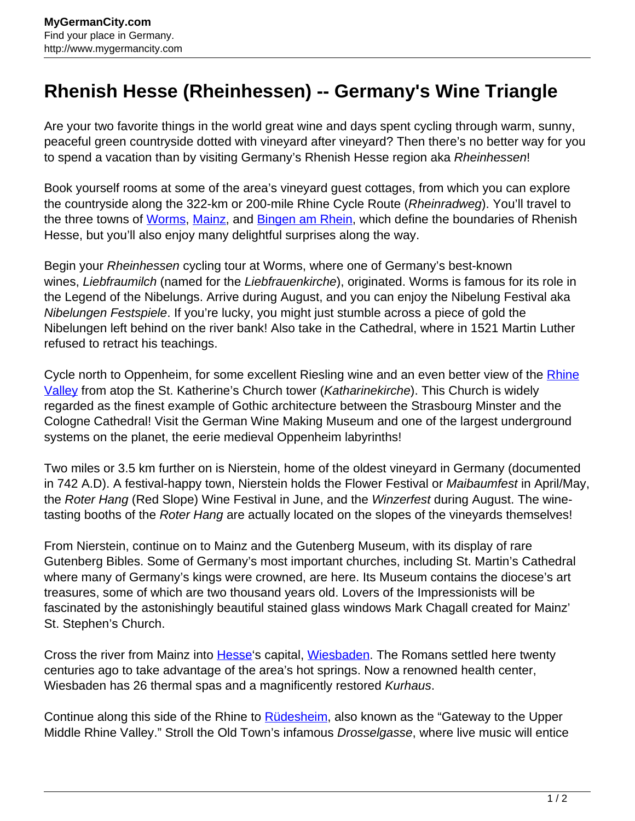## **Rhenish Hesse (Rheinhessen) -- Germany's Wine Triangle**

Are your two favorite things in the world great wine and days spent cycling through warm, sunny, peaceful green countryside dotted with vineyard after vineyard? Then there's no better way for you to spend a vacation than by visiting Germany's Rhenish Hesse region aka Rheinhessen!

Book yourself rooms at some of the area's vineyard guest cottages, from which you can explore the countryside along the 322-km or 200-mile Rhine Cycle Route (Rheinradweg). You'll travel to the three towns of [Worms](http://www.mygermancity.com/worms), [Mainz,](http://www.mygermancity.com/mainz) and [Bingen am Rhein,](http://www.mygermancity.com/bingen) which define the boundaries of Rhenish Hesse, but you'll also enjoy many delightful surprises along the way.

Begin your Rheinhessen cycling tour at Worms, where one of Germany's best-known wines, Liebfraumilch (named for the Liebfrauenkirche), originated. Worms is famous for its role in the Legend of the Nibelungs. Arrive during August, and you can enjoy the Nibelung Festival aka Nibelungen Festspiele. If you're lucky, you might just stumble across a piece of gold the Nibelungen left behind on the river bank! Also take in the Cathedral, where in 1521 Martin Luther refused to retract his teachings.

Cycle north to Oppenheim, for some excellent Riesling wine and an even better view of the [Rhine](http://www.mygermancity.com/rhine) [Valley](http://www.mygermancity.com/rhine) from atop the St. Katherine's Church tower (Katharinekirche). This Church is widely regarded as the finest example of Gothic architecture between the Strasbourg Minster and the Cologne Cathedral! Visit the German Wine Making Museum and one of the largest underground systems on the planet, the eerie medieval Oppenheim labyrinths!

Two miles or 3.5 km further on is Nierstein, home of the oldest vineyard in Germany (documented in 742 A.D). A festival-happy town, Nierstein holds the Flower Festival or Maibaumfest in April/May, the Roter Hang (Red Slope) Wine Festival in June, and the Winzerfest during August. The winetasting booths of the Roter Hang are actually located on the slopes of the vineyards themselves!

From Nierstein, continue on to Mainz and the Gutenberg Museum, with its display of rare Gutenberg Bibles. Some of Germany's most important churches, including St. Martin's Cathedral where many of Germany's kings were crowned, are here. Its Museum contains the diocese's art treasures, some of which are two thousand years old. Lovers of the Impressionists will be fascinated by the astonishingly beautiful stained glass windows Mark Chagall created for Mainz' St. Stephen's Church.

Cross the river from Mainz into **Hesse's capital, Wiesbaden**. The Romans settled here twenty centuries ago to take advantage of the area's hot springs. Now a renowned health center, Wiesbaden has 26 thermal spas and a magnificently restored Kurhaus.

Continue along this side of the Rhine to **Rüdesheim**, also known as the "Gateway to the Upper Middle Rhine Valley." Stroll the Old Town's infamous *Drosselgasse*, where live music will entice